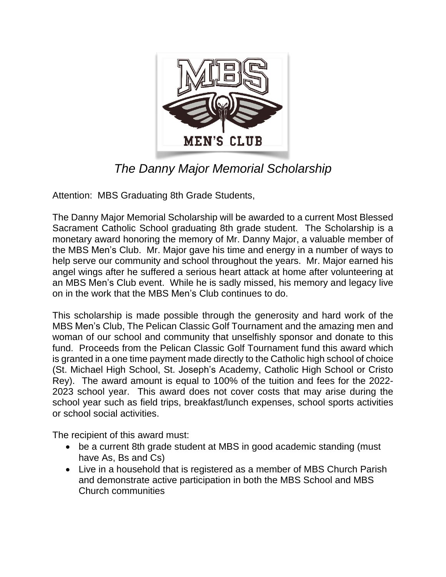

## *The Danny Major Memorial Scholarship*

Attention: MBS Graduating 8th Grade Students,

The Danny Major Memorial Scholarship will be awarded to a current Most Blessed Sacrament Catholic School graduating 8th grade student. The Scholarship is a monetary award honoring the memory of Mr. Danny Major, a valuable member of the MBS Men's Club. Mr. Major gave his time and energy in a number of ways to help serve our community and school throughout the years. Mr. Major earned his angel wings after he suffered a serious heart attack at home after volunteering at an MBS Men's Club event. While he is sadly missed, his memory and legacy live on in the work that the MBS Men's Club continues to do.

This scholarship is made possible through the generosity and hard work of the MBS Men's Club, The Pelican Classic Golf Tournament and the amazing men and woman of our school and community that unselfishly sponsor and donate to this fund. Proceeds from the Pelican Classic Golf Tournament fund this award which is granted in a one time payment made directly to the Catholic high school of choice (St. Michael High School, St. Joseph's Academy, Catholic High School or Cristo Rey). The award amount is equal to 100% of the tuition and fees for the 2022- 2023 school year. This award does not cover costs that may arise during the school year such as field trips, breakfast/lunch expenses, school sports activities or school social activities.

The recipient of this award must:

- be a current 8th grade student at MBS in good academic standing (must have As, Bs and Cs)
- Live in a household that is registered as a member of MBS Church Parish and demonstrate active participation in both the MBS School and MBS Church communities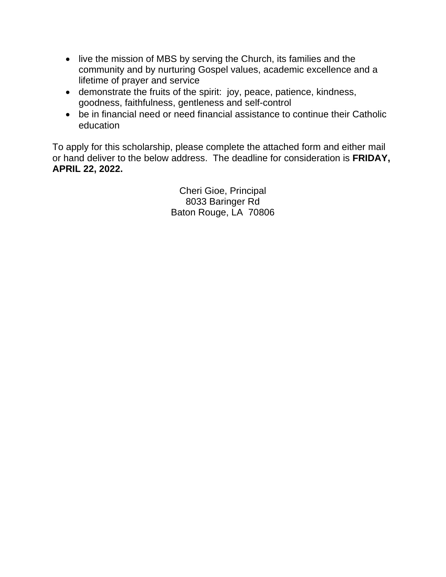- live the mission of MBS by serving the Church, its families and the community and by nurturing Gospel values, academic excellence and a lifetime of prayer and service
- demonstrate the fruits of the spirit: joy, peace, patience, kindness, goodness, faithfulness, gentleness and self-control
- be in financial need or need financial assistance to continue their Catholic education

To apply for this scholarship, please complete the attached form and either mail or hand deliver to the below address. The deadline for consideration is **FRIDAY, APRIL 22, 2022.**

> Cheri Gioe, Principal 8033 Baringer Rd Baton Rouge, LA 70806